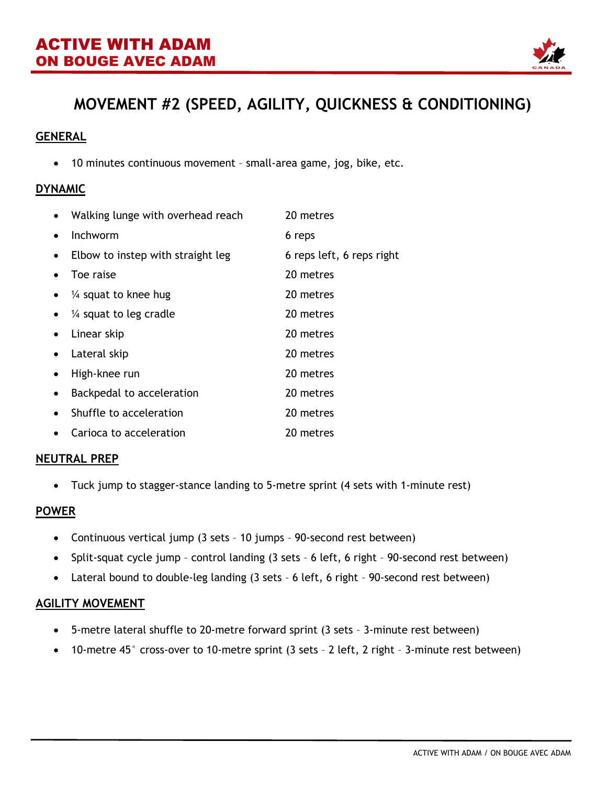

# **MOVEMENT #2 (SPEED, AGILITY, QUICKNESS & CONDITIONING)**

### **GENERAL**

• 10 minutes continuous movement – small-area game, jog, bike, etc.

#### **DYNAMIC**

| $\bullet$ | Walking lunge with overhead reach | 20 metres                 |
|-----------|-----------------------------------|---------------------------|
| $\bullet$ | Inchworm                          | 6 reps                    |
| $\bullet$ | Elbow to instep with straight leg | 6 reps left, 6 reps right |
|           | Toe raise                         | 20 metres                 |
| $\bullet$ | $\frac{1}{4}$ squat to knee hug   | 20 metres                 |
| $\bullet$ | $\frac{1}{4}$ squat to leg cradle | 20 metres                 |
| $\bullet$ | Linear skip                       | 20 metres                 |
| $\bullet$ | Lateral skip                      | 20 metres                 |
|           | High-knee run                     | 20 metres                 |
| $\bullet$ | Backpedal to acceleration         | 20 metres                 |
| $\bullet$ | Shuffle to acceleration           | 20 metres                 |
| $\bullet$ | Carioca to acceleration           | 20 metres                 |

#### **NEUTRAL PREP**

• Tuck jump to stagger-stance landing to 5-metre sprint (4 sets with 1-minute rest)

#### **POWER**

- Continuous vertical jump (3 sets 10 jumps 90-second rest between)
- Split-squat cycle jump control landing (3 sets 6 left, 6 right 90-second rest between)
- Lateral bound to double-leg landing (3 sets 6 left, 6 right 90-second rest between)

#### **AGILITY MOVEMENT**

- 5-metre lateral shuffle to 20-metre forward sprint (3 sets 3-minute rest between)
- 10-metre 45° cross-over to 10-metre sprint (3 sets 2 left, 2 right 3-minute rest between)